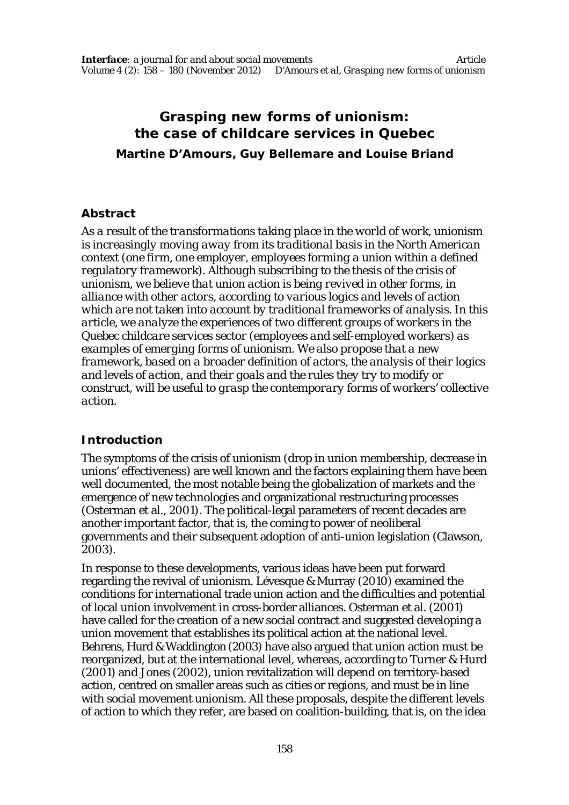# **Grasping new forms of unionism: the case of childcare services in Quebec**

**Martine D'Amours, Guy Bellemare and Louise Briand**

#### **Abstract**

*As a result of the transformations taking place in the world of work, unionism is increasingly moving away from its traditional basis in the North American context (one firm, one employer, employees forming a union within a defined regulatory framework). Although subscribing to the thesis of the crisis of unionism, we believe that union action is being revived in other forms, in alliance with other actors, according to various logics and levels of action which are not taken into account by traditional frameworks of analysis. In this article, we analyze the experiences of two different groups of workers in the Quebec childcare services sector (employees and self-employed workers) as examples of emerging forms of unionism. We also propose that a new framework, based on a broader definition of actors, the analysis of their logics and levels of action, and their goals and the rules they try to modify or construct, will be useful to grasp the contemporary forms of workers' collective action.*

# **Introduction**

The symptoms of the crisis of unionism (drop in union membership, decrease in unions' effectiveness) are well known and the factors explaining them have been well documented, the most notable being the globalization of markets and the emergence of new technologies and organizational restructuring processes (Osterman et al., 2001). The political-legal parameters of recent decades are another important factor, that is, the coming to power of neoliberal governments and their subsequent adoption of anti-union legislation (Clawson, 2003).

In response to these developments, various ideas have been put forward regarding the revival of unionism. Lévesque & Murray (2010) examined the conditions for international trade union action and the difficulties and potential of local union involvement in cross-border alliances. Osterman et al. (2001) have called for the creation of a new social contract and suggested developing a union movement that establishes its political action at the national level. Behrens, Hurd & Waddington (2003) have also argued that union action must be reorganized, but at the international level, whereas, according to Turner & Hurd (2001) and Jones (2002), union revitalization will depend on territory-based action, centred on smaller areas such as cities or regions, and must be in line with social movement unionism. All these proposals, despite the different levels of action to which they refer, are based on coalition-building, that is, on the idea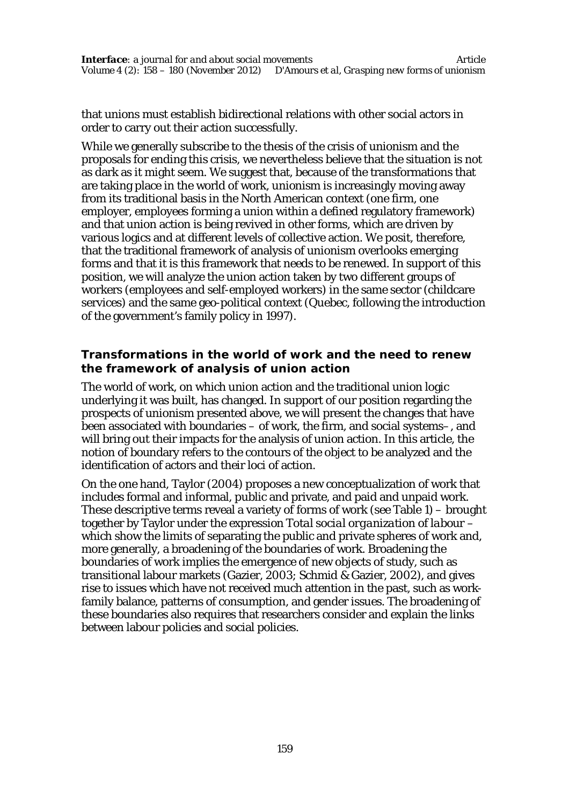that unions must establish bidirectional relations with other social actors in order to carry out their action successfully.

While we generally subscribe to the thesis of the crisis of unionism and the proposals for ending this crisis, we nevertheless believe that the situation is not as dark as it might seem. We suggest that, because of the transformations that are taking place in the world of work, unionism is increasingly moving away from its traditional basis in the North American context (one firm, one employer, employees forming a union within a defined regulatory framework) and that union action is being revived in other forms, which are driven by various logics and at different levels of collective action. We posit, therefore, that the traditional framework of analysis of unionism overlooks emerging forms and that it is this framework that needs to be renewed. In support of this position, we will analyze the union action taken by two different groups of workers (employees and self-employed workers) in the same sector (childcare services) and the same geo-political context (Quebec, following the introduction of the government's family policy in 1997).

#### **Transformations in the world of work and the need to renew the framework of analysis of union action**

The world of work, on which union action and the traditional union logic underlying it was built, has changed. In support of our position regarding the prospects of unionism presented above, we will present the changes that have been associated with boundaries – of work, the firm, and social systems–, and will bring out their impacts for the analysis of union action. In this article, the notion of boundary refers to the contours of the object to be analyzed and the identification of actors and their loci of action.

On the one hand, Taylor (2004) proposes a new conceptualization of work that includes formal and informal, public and private, and paid and unpaid work. These descriptive terms reveal a variety of forms of work (see Table 1) – brought together by Taylor under the expression *Total social organization of labour* – which show the limits of separating the public and private spheres of work and, more generally, a broadening of the boundaries of work. Broadening the boundaries of work implies the emergence of new objects of study, such as transitional labour markets (Gazier, 2003; Schmid & Gazier, 2002), and gives rise to issues which have not received much attention in the past, such as workfamily balance, patterns of consumption, and gender issues. The broadening of these boundaries also requires that researchers consider and explain the links between labour policies and social policies.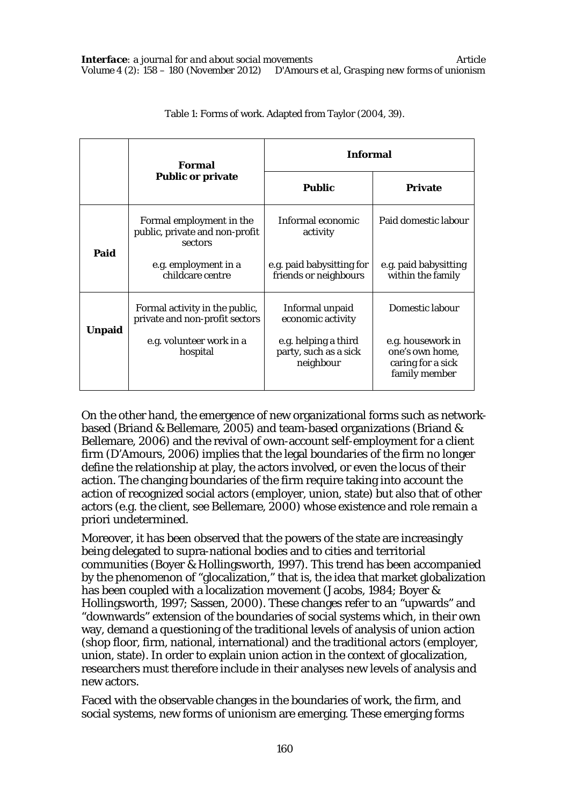|               | <b>Formal</b><br><b>Public or private</b>                             | <b>Informal</b>                                            |                                                                            |  |
|---------------|-----------------------------------------------------------------------|------------------------------------------------------------|----------------------------------------------------------------------------|--|
|               |                                                                       | <b>Public</b>                                              | Private                                                                    |  |
|               | Formal employment in the<br>public, private and non-profit<br>sectors | Informal economic<br>activity                              | Paid domestic labour                                                       |  |
| Paid          | e.g. employment in a<br>childcare centre                              | e.g. paid babysitting for<br>friends or neighbours         | e.g. paid babysitting<br>within the family                                 |  |
|               | Formal activity in the public,<br>private and non-profit sectors      | Informal unpaid<br>economic activity                       | Domestic labour                                                            |  |
| <b>Unpaid</b> | e.g. volunteer work in a<br>hospital                                  | e.g. helping a third<br>party, such as a sick<br>neighbour | e.g. housework in<br>one's own home,<br>caring for a sick<br>family member |  |

#### Table 1: Forms of work. Adapted from Taylor (2004, 39).

On the other hand, the emergence of new organizational forms such as networkbased (Briand & Bellemare, 2005) and team-based organizations (Briand & Bellemare, 2006) and the revival of own-account self-employment for a client firm (D'Amours, 2006) implies that the legal boundaries of the firm no longer define the relationship at play, the actors involved, or even the locus of their action. The changing boundaries of the firm require taking into account the action of recognized social actors (employer, union, state) but also that of other actors (e.g. the client, see Bellemare, 2000) whose existence and role remain a priori undetermined.

Moreover, it has been observed that the powers of the state are increasingly being delegated to supra-national bodies and to cities and territorial communities (Boyer & Hollingsworth, 1997). This trend has been accompanied by the phenomenon of "glocalization," that is, the idea that market globalization has been coupled with a localization movement (Jacobs, 1984; Boyer & Hollingsworth, 1997; Sassen, 2000). These changes refer to an "upwards" and "downwards" extension of the boundaries of social systems which, in their own way, demand a questioning of the traditional levels of analysis of union action (shop floor, firm, national, international) and the traditional actors (employer, union, state). In order to explain union action in the context of glocalization, researchers must therefore include in their analyses new levels of analysis and new actors.

Faced with the observable changes in the boundaries of work, the firm, and social systems, new forms of unionism are emerging. These emerging forms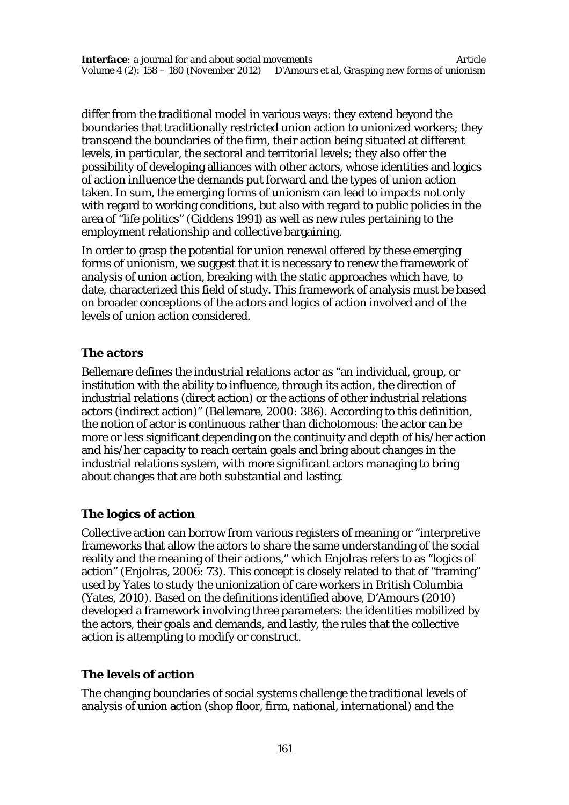differ from the traditional model in various ways: they extend beyond the boundaries that traditionally restricted union action to unionized workers; they transcend the boundaries of the firm, their action being situated at different levels, in particular, the sectoral and territorial levels; they also offer the possibility of developing alliances with other actors, whose identities and logics of action influence the demands put forward and the types of union action taken. In sum, the emerging forms of unionism can lead to impacts not only with regard to working conditions, but also with regard to public policies in the area of "life politics" (Giddens 1991) as well as new rules pertaining to the employment relationship and collective bargaining.

In order to grasp the potential for union renewal offered by these emerging forms of unionism, we suggest that it is necessary to renew the framework of analysis of union action, breaking with the static approaches which have, to date, characterized this field of study. This framework of analysis must be based on broader conceptions of the actors and logics of action involved and of the levels of union action considered.

#### **The actors**

Bellemare defines the industrial relations actor as "an individual, group, or institution with the ability to influence, through its action, the direction of industrial relations (direct action) or the actions of other industrial relations actors (indirect action)" (Bellemare, 2000: 386). According to this definition, the notion of actor is continuous rather than dichotomous: the actor can be more or less significant depending on the continuity and depth of his/her action and his/her capacity to reach certain goals and bring about changes in the industrial relations system, with more significant actors managing to bring about changes that are both substantial and lasting.

# **The logics of action**

Collective action can borrow from various registers of meaning or "interpretive frameworks that allow the actors to share the same understanding of the social reality and the meaning of their actions," which Enjolras refers to as "logics of action" (Enjolras, 2006: 73). This concept is closely related to that of "framing" used by Yates to study the unionization of care workers in British Columbia (Yates, 2010). Based on the definitions identified above, D'Amours (2010) developed a framework involving three parameters: the identities mobilized by the actors, their goals and demands, and lastly, the rules that the collective action is attempting to modify or construct.

#### **The levels of action**

The changing boundaries of social systems challenge the traditional levels of analysis of union action (shop floor, firm, national, international) and the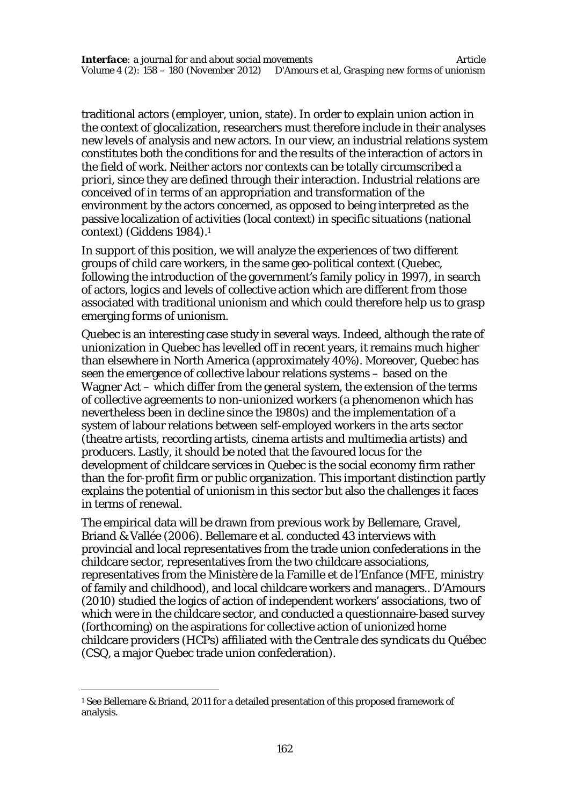traditional actors (employer, union, state). In order to explain union action in the context of glocalization, researchers must therefore include in their analyses new levels of analysis and new actors. In our view, an industrial relations system constitutes both the conditions for and the results of the interaction of actors in the field of work. Neither actors nor contexts can be totally circumscribed *a priori*, since they are defined through their interaction. Industrial relations are conceived of in terms of an appropriation and transformation of the environment by the actors concerned, as opposed to being interpreted as the passive localization of activities (local context) in specific situations (national context) (Giddens 1984).<sup>1</sup>

In support of this position, we will analyze the experiences of two different groups of child care workers, in the same geo-political context (Quebec, following the introduction of the government's family policy in 1997), in search of actors, logics and levels of collective action which are different from those associated with traditional unionism and which could therefore help us to grasp emerging forms of unionism.

Quebec is an interesting case study in several ways. Indeed, although the rate of unionization in Quebec has levelled off in recent years, it remains much higher than elsewhere in North America (approximately 40%). Moreover, Quebec has seen the emergence of collective labour relations systems – based on the Wagner Act – which differ from the general system, the extension of the terms of collective agreements to non-unionized workers (a phenomenon which has nevertheless been in decline since the 1980s) and the implementation of a system of labour relations between self-employed workers in the arts sector (theatre artists, recording artists, cinema artists and multimedia artists) and producers. Lastly, it should be noted that the favoured locus for the development of childcare services in Quebec is the social economy firm rather than the for-profit firm or public organization. This important distinction partly explains the potential of unionism in this sector but also the challenges it faces in terms of renewal.

The empirical data will be drawn from previous work by Bellemare, Gravel, Briand & Vallée (2006). Bellemare et al. conducted 43 interviews with provincial and local representatives from the trade union confederations in the childcare sector, representatives from the two childcare associations, representatives from the Ministère de la Famille et de l'Enfance (MFE, ministry of family and childhood), and local childcare workers and managers.. D'Amours (2010) studied the logics of action of independent workers' associations, two of which were in the childcare sector, and conducted a questionnaire-based survey (forthcoming) on the aspirations for collective action of unionized home childcare providers (HCPs) affiliated with the *Centrale des syndicats du Québec* (CSQ, a major Quebec trade union confederation).

 $\overline{a}$ 

<sup>1</sup> See Bellemare & Briand, 2011 for a detailed presentation of this proposed framework of analysis.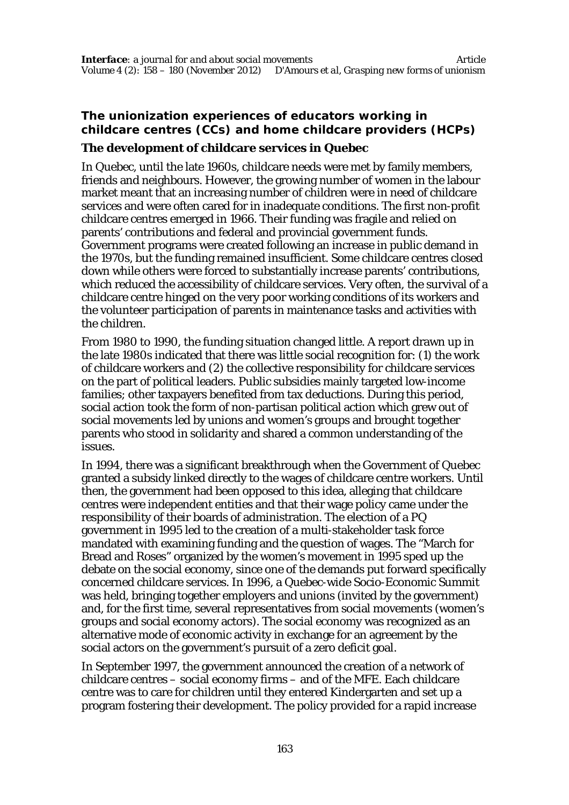# **The unionization experiences of educators working in childcare centres (CCs) and home childcare providers (HCPs) The development of childcare services in Quebec**

In Quebec, until the late 1960s, childcare needs were met by family members, friends and neighbours. However, the growing number of women in the labour market meant that an increasing number of children were in need of childcare services and were often cared for in inadequate conditions. The first non-profit childcare centres emerged in 1966. Their funding was fragile and relied on parents' contributions and federal and provincial government funds. Government programs were created following an increase in public demand in the 1970s, but the funding remained insufficient. Some childcare centres closed down while others were forced to substantially increase parents' contributions, which reduced the accessibility of childcare services. Very often, the survival of a childcare centre hinged on the very poor working conditions of its workers and the volunteer participation of parents in maintenance tasks and activities with the children.

From 1980 to 1990, the funding situation changed little. A report drawn up in the late 1980s indicated that there was little social recognition for: (1) the work of childcare workers and (2) the collective responsibility for childcare services on the part of political leaders. Public subsidies mainly targeted low-income families; other taxpayers benefited from tax deductions. During this period, social action took the form of non-partisan political action which grew out of social movements led by unions and women's groups and brought together parents who stood in solidarity and shared a common understanding of the issues.

In 1994, there was a significant breakthrough when the Government of Quebec granted a subsidy linked directly to the wages of childcare centre workers. Until then, the government had been opposed to this idea, alleging that childcare centres were independent entities and that their wage policy came under the responsibility of their boards of administration. The election of a PQ government in 1995 led to the creation of a multi-stakeholder task force mandated with examining funding and the question of wages. The "March for Bread and Roses" organized by the women's movement in 1995 sped up the debate on the social economy, since one of the demands put forward specifically concerned childcare services. In 1996, a Quebec-wide Socio-Economic Summit was held, bringing together employers and unions (invited by the government) and, for the first time, several representatives from social movements (women's groups and social economy actors). The social economy was recognized as an alternative mode of economic activity in exchange for an agreement by the social actors on the government's pursuit of a zero deficit goal.

In September 1997, the government announced the creation of a network of childcare centres – social economy firms – and of the MFE. Each childcare centre was to care for children until they entered Kindergarten and set up a program fostering their development. The policy provided for a rapid increase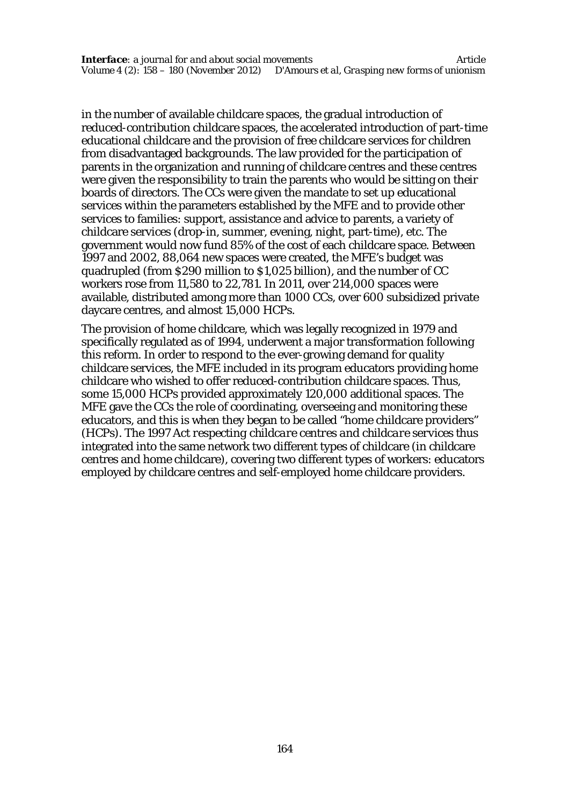in the number of available childcare spaces, the gradual introduction of reduced-contribution childcare spaces, the accelerated introduction of part-time educational childcare and the provision of free childcare services for children from disadvantaged backgrounds. The law provided for the participation of parents in the organization and running of childcare centres and these centres were given the responsibility to train the parents who would be sitting on their boards of directors. The CCs were given the mandate to set up educational services within the parameters established by the MFE and to provide other services to families: support, assistance and advice to parents, a variety of childcare services (drop-in, summer, evening, night, part-time), etc. The government would now fund 85% of the cost of each childcare space. Between 1997 and 2002, 88,064 new spaces were created, the MFE's budget was quadrupled (from \$290 million to \$1,025 billion), and the number of CC workers rose from 11,580 to 22,781. In 2011, over 214,000 spaces were available, distributed among more than 1000 CCs, over 600 subsidized private daycare centres, and almost 15,000 HCPs.

The provision of home childcare, which was legally recognized in 1979 and specifically regulated as of 1994, underwent a major transformation following this reform. In order to respond to the ever-growing demand for quality childcare services, the MFE included in its program educators providing home childcare who wished to offer reduced-contribution childcare spaces. Thus, some 15,000 HCPs provided approximately 120,000 additional spaces. The MFE gave the CCs the role of coordinating, overseeing and monitoring these educators, and this is when they began to be called "home childcare providers" (HCPs). The 1997 *Act respecting childcare centres and childcare services* thus integrated into the same network two different types of childcare (in childcare centres and home childcare), covering two different types of workers: educators employed by childcare centres and self-employed home childcare providers.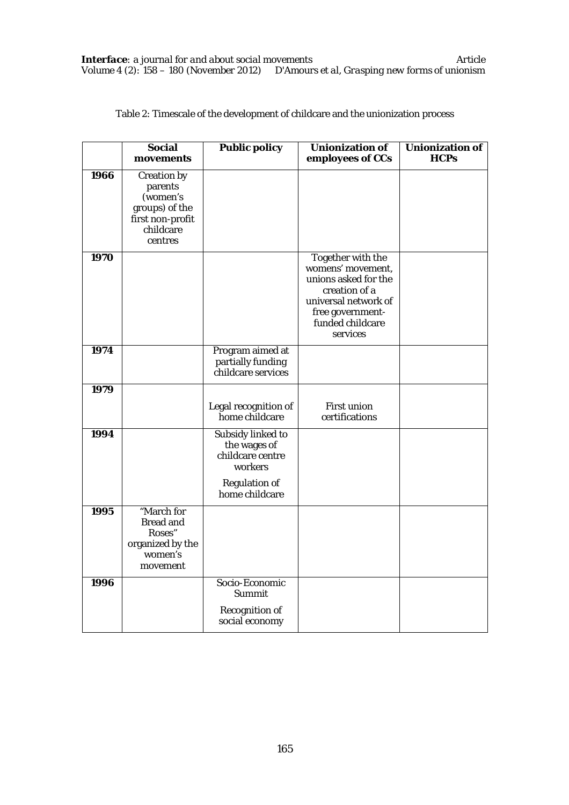|      | Social<br>movements                                                                              | <b>Public policy</b>                                                                                | Unionization of<br>employees of CCs                                                                                                                         | <b>Unionization of</b><br><b>HCPs</b> |
|------|--------------------------------------------------------------------------------------------------|-----------------------------------------------------------------------------------------------------|-------------------------------------------------------------------------------------------------------------------------------------------------------------|---------------------------------------|
| 1966 | Creation by<br>parents<br>(women's<br>groups) of the<br>first non-profit<br>childcare<br>centres |                                                                                                     |                                                                                                                                                             |                                       |
| 1970 |                                                                                                  |                                                                                                     | Together with the<br>womens' movement,<br>unions asked for the<br>creation of a<br>universal network of<br>free government-<br>funded childcare<br>services |                                       |
| 1974 |                                                                                                  | Program aimed at<br>partially funding<br>childcare services                                         |                                                                                                                                                             |                                       |
| 1979 |                                                                                                  | Legal recognition of<br>home childcare                                                              | First union<br>certifications                                                                                                                               |                                       |
| 1994 |                                                                                                  | Subsidy linked to<br>the wages of<br>childcare centre<br>workers<br>Regulation of<br>home childcare |                                                                                                                                                             |                                       |
| 1995 | "March for<br>Bread and<br>Roses"<br>organized by the<br>women's<br>movement                     |                                                                                                     |                                                                                                                                                             |                                       |
| 1996 |                                                                                                  | Socio-Economic<br>Summit<br>Recognition of<br>social economy                                        |                                                                                                                                                             |                                       |

Table 2: Timescale of the development of childcare and the unionization process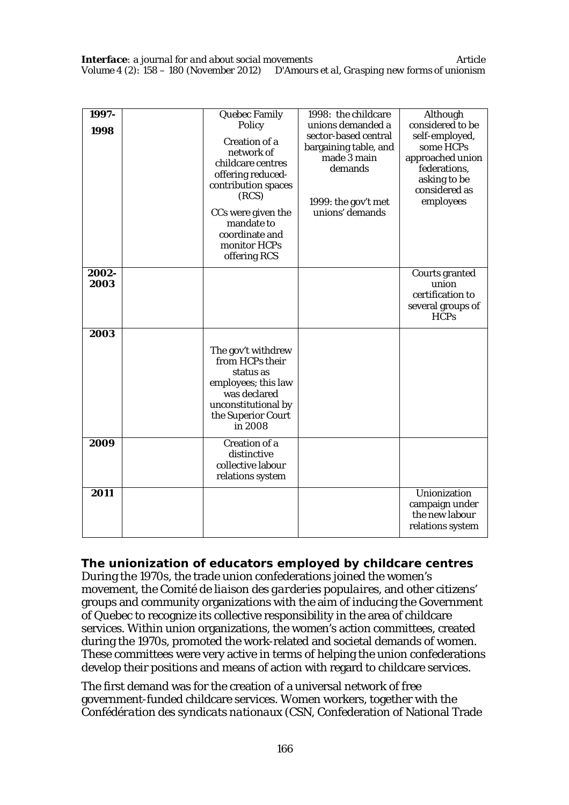| 1997-<br>1998 | Quebec Family<br>Policy<br>Creation of a<br>network of<br>childcare centres<br>offering reduced-<br>contribution spaces<br>(RCS)<br>CCs were given the<br>mandate to<br>coordinate and<br>monitor HCPs<br>offering RCS | 1998: the childcare<br>unions demanded a<br>sector-based central<br>bargaining table, and<br>made 3 main<br>demands<br>1999: the gov't met<br>unions' demands | Although<br>considered to be<br>self-employed,<br>some HCPs<br>approached union<br>federations,<br>asking to be<br>considered as<br>employees |
|---------------|------------------------------------------------------------------------------------------------------------------------------------------------------------------------------------------------------------------------|---------------------------------------------------------------------------------------------------------------------------------------------------------------|-----------------------------------------------------------------------------------------------------------------------------------------------|
| 2002-<br>2003 |                                                                                                                                                                                                                        |                                                                                                                                                               | Courts granted<br>union<br>certification to<br>several groups of<br><b>HCPs</b>                                                               |
| 2003          | The gov't withdrew<br>from HCPs their<br>status as<br>employees; this law<br>was declared<br>unconstitutional by<br>the Superior Court<br>in 2008                                                                      |                                                                                                                                                               |                                                                                                                                               |
| 2009          | Creation of a<br>distinctive<br>collective labour<br>relations system                                                                                                                                                  |                                                                                                                                                               |                                                                                                                                               |
| 2011          |                                                                                                                                                                                                                        |                                                                                                                                                               | Unionization<br>campaign under<br>the new labour<br>relations system                                                                          |

#### **The unionization of educators employed by childcare centres**

During the 1970s, the trade union confederations joined the women's movement, the *Comité de liaison des garderies populaires*, and other citizens' groups and community organizations with the aim of inducing the Government of Quebec to recognize its collective responsibility in the area of childcare services. Within union organizations, the women's action committees, created during the 1970s, promoted the work-related and societal demands of women. These committees were very active in terms of helping the union confederations develop their positions and means of action with regard to childcare services.

The first demand was for the creation of a universal network of free government-funded childcare services. Women workers, together with the *Confédération des syndicats nationaux* (CSN, Confederation of National Trade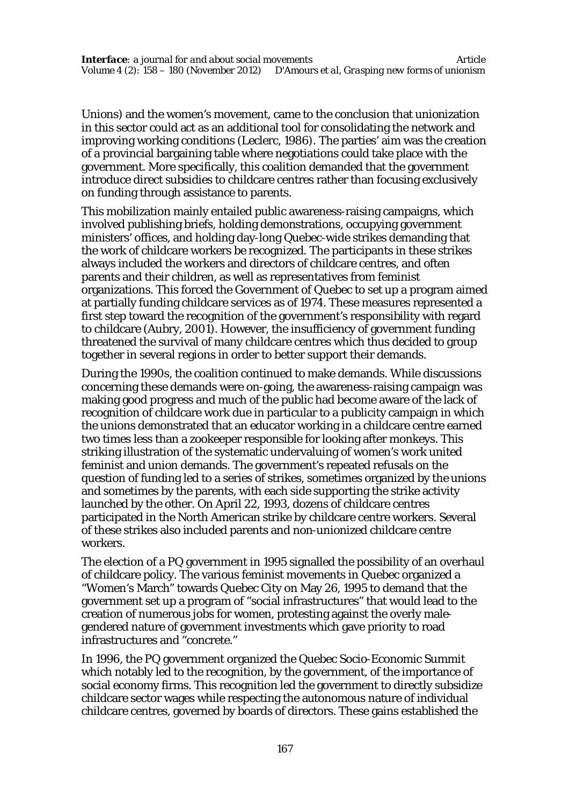Unions) and the women's movement, came to the conclusion that unionization in this sector could act as an additional tool for consolidating the network and improving working conditions (Leclerc, 1986). The parties' aim was the creation of a provincial bargaining table where negotiations could take place with the government. More specifically, this coalition demanded that the government introduce direct subsidies to childcare centres rather than focusing exclusively on funding through assistance to parents.

This mobilization mainly entailed public awareness-raising campaigns, which involved publishing briefs, holding demonstrations, occupying government ministers' offices, and holding day-long Quebec-wide strikes demanding that the work of childcare workers be recognized. The participants in these strikes always included the workers and directors of childcare centres, and often parents and their children, as well as representatives from feminist organizations. This forced the Government of Quebec to set up a program aimed at partially funding childcare services as of 1974. These measures represented a first step toward the recognition of the government's responsibility with regard to childcare (Aubry, 2001). However, the insufficiency of government funding threatened the survival of many childcare centres which thus decided to group together in several regions in order to better support their demands.

During the 1990s, the coalition continued to make demands. While discussions concerning these demands were on-going, the awareness-raising campaign was making good progress and much of the public had become aware of the lack of recognition of childcare work due in particular to a publicity campaign in which the unions demonstrated that an educator working in a childcare centre earned two times less than a zookeeper responsible for looking after monkeys. This striking illustration of the systematic undervaluing of women's work united feminist and union demands. The government's repeated refusals on the question of funding led to a series of strikes, sometimes organized by the unions and sometimes by the parents, with each side supporting the strike activity launched by the other. On April 22, 1993, dozens of childcare centres participated in the North American strike by childcare centre workers. Several of these strikes also included parents and non-unionized childcare centre workers.

The election of a PQ government in 1995 signalled the possibility of an overhaul of childcare policy. The various feminist movements in Quebec organized a "Women's March" towards Quebec City on May 26, 1995 to demand that the government set up a program of "social infrastructures" that would lead to the creation of numerous jobs for women, protesting against the overly malegendered nature of government investments which gave priority to road infrastructures and "concrete."

In 1996, the PQ government organized the Quebec Socio-Economic Summit which notably led to the recognition, by the government, of the importance of social economy firms. This recognition led the government to directly subsidize childcare sector wages while respecting the autonomous nature of individual childcare centres, governed by boards of directors. These gains established the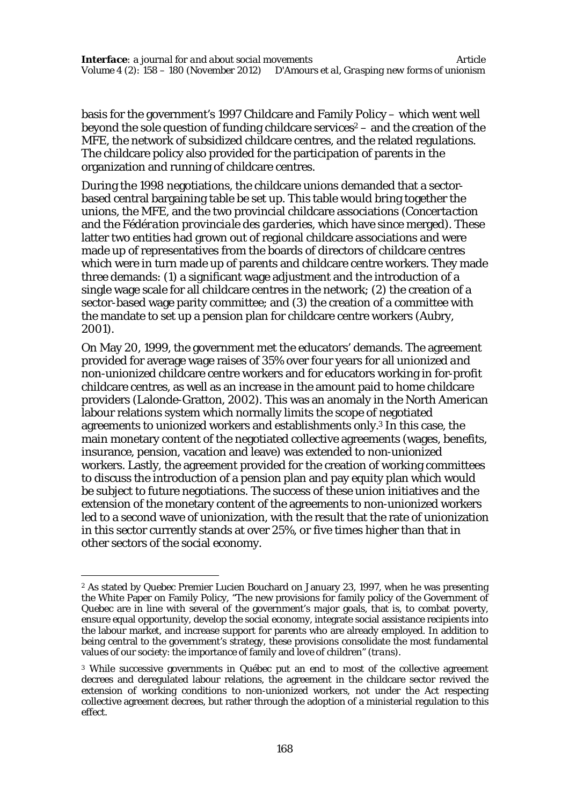basis for the government's 1997 Childcare and Family Policy – which went well beyond the sole question of funding childcare services $2 -$  and the creation of the MFE, the network of subsidized childcare centres, and the related regulations. The childcare policy also provided for the participation of parents in the organization and running of childcare centres.

During the 1998 negotiations, the childcare unions demanded that a sectorbased central bargaining table be set up. This table would bring together the unions, the MFE, and the two provincial childcare associations (*Concertaction* and the *Fédération provinciale des garderies*, which have since merged). These latter two entities had grown out of regional childcare associations and were made up of representatives from the boards of directors of childcare centres which were in turn made up of parents and childcare centre workers. They made three demands: (1) a significant wage adjustment and the introduction of a single wage scale for all childcare centres in the network; (2) the creation of a sector-based wage parity committee; and (3) the creation of a committee with the mandate to set up a pension plan for childcare centre workers (Aubry, 2001).

On May 20, 1999, the government met the educators' demands. The agreement provided for average wage raises of 35% over four years for all *unionized and non-unionized* childcare centre workers and for educators working in for-profit childcare centres, as well as an increase in the amount paid to home childcare providers (Lalonde-Gratton, 2002). This was an anomaly in the North American labour relations system which normally limits the scope of negotiated agreements to unionized workers and establishments only.<sup>3</sup> In this case, the main monetary content of the negotiated collective agreements (wages, benefits, insurance, pension, vacation and leave) was extended to non-unionized workers. Lastly, the agreement provided for the creation of working committees to discuss the introduction of a pension plan and pay equity plan which would be subject to future negotiations. The success of these union initiatives and the extension of the monetary content of the agreements to non-unionized workers led to a second wave of unionization, with the result that the rate of unionization in this sector currently stands at over 25%, or five times higher than that in other sectors of the social economy.

 $\overline{a}$ 

<sup>2</sup> As stated by Quebec Premier Lucien Bouchard on January 23, 1997, when he was presenting the White Paper on Family Policy, "The new provisions for family policy of the Government of Quebec are in line with several of the government's major goals, that is, to combat poverty, ensure equal opportunity, develop the social economy, integrate social assistance recipients into the labour market, and increase support for parents who are already employed. In addition to being central to the government's strategy, these provisions consolidate the most fundamental values of our society: the importance of family and love of children" *(trans).*

<sup>&</sup>lt;sup>3</sup> While successive governments in Québec put an end to most of the collective agreement decrees and deregulated labour relations, the agreement in the childcare sector revived the extension of working conditions to non-unionized workers, not under the Act respecting collective agreement decrees, but rather through the adoption of a ministerial regulation to this effect.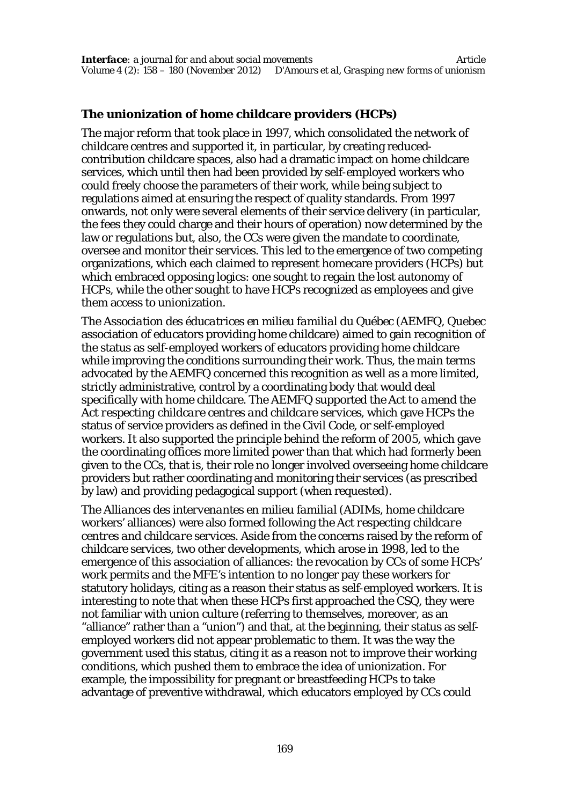# **The unionization of home childcare providers (HCPs)**

The major reform that took place in 1997, which consolidated the network of childcare centres and supported it, in particular, by creating reducedcontribution childcare spaces, also had a dramatic impact on home childcare services, which until then had been provided by self-employed workers who could freely choose the parameters of their work, while being subject to regulations aimed at ensuring the respect of quality standards. From 1997 onwards, not only were several elements of their service delivery (in particular, the fees they could charge and their hours of operation) now determined by the law or regulations but, also, the CCs were given the mandate to coordinate, oversee and monitor their services. This led to the emergence of two competing organizations, which each claimed to represent homecare providers (HCPs) but which embraced opposing logics: one sought to regain the lost autonomy of HCPs, while the other sought to have HCPs recognized as employees and give them access to unionization.

The *Association des éducatrices en milieu familial du Québec* (AEMFQ, Quebec association of educators providing home childcare) aimed to gain recognition of the status as self-employed workers of educators providing home childcare while improving the conditions surrounding their work. Thus, the main terms advocated by the AEMFQ concerned this recognition as well as a more limited, strictly administrative, control by a coordinating body that would deal specifically with home childcare. The AEMFQ supported the *Act to amend the Act respecting childcare centres and childcare services*, which gave HCPs the status of service providers as defined in the Civil Code, or self-employed workers. It also supported the principle behind the reform of 2005, which gave the coordinating offices more limited power than that which had formerly been given to the CCs, that is, their role no longer involved overseeing home childcare providers but rather coordinating and monitoring their services (as prescribed by law) and providing pedagogical support (when requested).

The *Alliances des intervenantes en milieu familial* (ADIMs, home childcare workers' alliances) were also formed following the *Act respecting childcare centres and childcare services*. Aside from the concerns raised by the reform of childcare services, two other developments, which arose in 1998, led to the emergence of this association of alliances: the revocation by CCs of some HCPs' work permits and the MFE's intention to no longer pay these workers for statutory holidays, citing as a reason their status as self-employed workers. It is interesting to note that when these HCPs first approached the CSQ, they were not familiar with union culture (referring to themselves, moreover, as an "alliance" rather than a "union") and that, at the beginning, their status as selfemployed workers did not appear problematic to them. It was the way the government used this status, citing it as a reason not to improve their working conditions, which pushed them to embrace the idea of unionization. For example, the impossibility for pregnant or breastfeeding HCPs to take advantage of preventive withdrawal, which educators employed by CCs could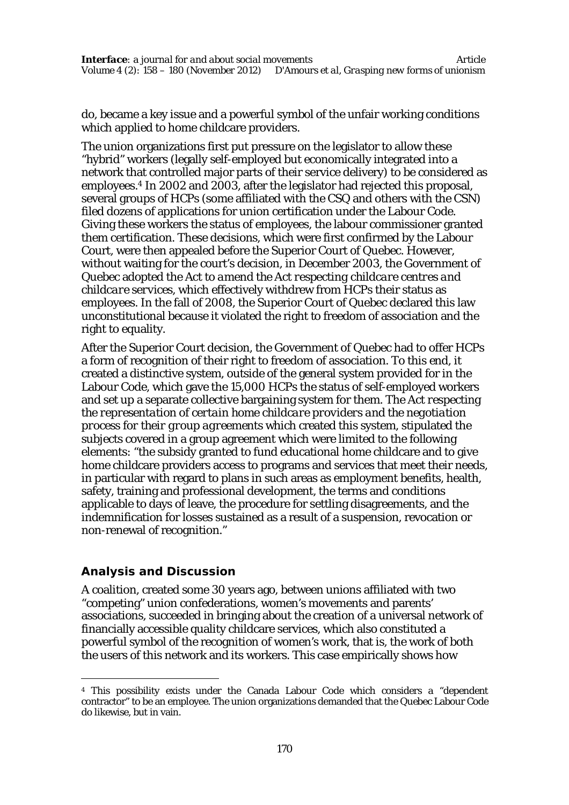do, became a key issue and a powerful symbol of the unfair working conditions which applied to home childcare providers.

The union organizations first put pressure on the legislator to allow these "hybrid" workers (legally self-employed but economically integrated into a network that controlled major parts of their service delivery) to be considered as employees.<sup>4</sup> In 2002 and 2003, after the legislator had rejected this proposal, several groups of HCPs (some affiliated with the CSQ and others with the CSN) filed dozens of applications for union certification under the Labour Code. Giving these workers the status of employees, the labour commissioner granted them certification. These decisions, which were first confirmed by the Labour Court, were then appealed before the Superior Court of Quebec. However, without waiting for the court's decision, in December 2003, the Government of Quebec adopted the *Act to amend the Act respecting childcare centres and childcare services*, which effectively withdrew from HCPs their status as employees. In the fall of 2008, the Superior Court of Quebec declared this law unconstitutional because it violated the right to freedom of association and the right to equality.

After the Superior Court decision, the Government of Quebec had to offer HCPs a form of recognition of their right to freedom of association. To this end, it created a distinctive system, outside of the general system provided for in the Labour Code, which gave the 15,000 HCPs the status of self-employed workers and set up a separate collective bargaining system for them. The *Act respecting the representation of certain home childcare providers and the negotiation process for their group agreements* which created this system, stipulated the subjects covered in a group agreement which were limited to the following elements: "the subsidy granted to fund educational home childcare and to give home childcare providers access to programs and services that meet their needs, in particular with regard to plans in such areas as employment benefits, health, safety, training and professional development, the terms and conditions applicable to days of leave, the procedure for settling disagreements, and the indemnification for losses sustained as a result of a suspension, revocation or non-renewal of recognition."

# **Analysis and Discussion**

 $\overline{a}$ 

A coalition, created some 30 years ago, between unions affiliated with two "competing" union confederations, women's movements and parents' associations, succeeded in bringing about the creation of a universal network of financially accessible quality childcare services, which also constituted a powerful symbol of the recognition of women's work, that is, the work of both the users of this network and its workers. This case empirically shows how

<sup>4</sup> This possibility exists under the Canada Labour Code which considers a "dependent contractor" to be an employee. The union organizations demanded that the Quebec Labour Code do likewise, but in vain.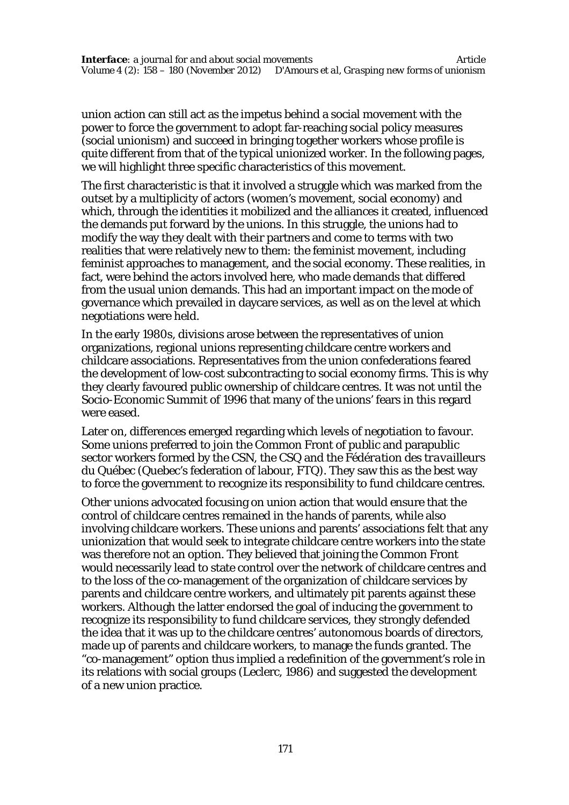union action can still act as the impetus behind a social movement with the power to force the government to adopt far-reaching social policy measures (social unionism) and succeed in bringing together workers whose profile is quite different from that of the typical unionized worker. In the following pages, we will highlight three specific characteristics of this movement.

The first characteristic is that it involved a struggle which was marked from the outset by a multiplicity of actors (women's movement, social economy) and which, through the identities it mobilized and the alliances it created, influenced the demands put forward by the unions. In this struggle, the unions had to modify the way they dealt with their partners and come to terms with two realities that were relatively new to them: the feminist movement, including feminist approaches to management, and the social economy. These realities, in fact, were behind the actors involved here, who made demands that differed from the usual union demands. This had an important impact on the mode of governance which prevailed in daycare services, as well as on the level at which negotiations were held.

In the early 1980s, divisions arose between the representatives of union organizations, regional unions representing childcare centre workers and childcare associations. Representatives from the union confederations feared the development of low-cost subcontracting to social economy firms. This is why they clearly favoured public ownership of childcare centres. It was not until the Socio-Economic Summit of 1996 that many of the unions' fears in this regard were eased.

Later on, differences emerged regarding which levels of negotiation to favour. Some unions preferred to join the Common Front of public and parapublic sector workers formed by the CSN, the CSQ and the *Fédération des travailleurs du Québec* (Quebec's federation of labour, FTQ). They saw this as the best way to force the government to recognize its responsibility to fund childcare centres.

Other unions advocated focusing on union action that would ensure that the control of childcare centres remained in the hands of parents, while also involving childcare workers. These unions and parents' associations felt that any unionization that would seek to integrate childcare centre workers into the state was therefore not an option. They believed that joining the Common Front would necessarily lead to state control over the network of childcare centres and to the loss of the co-management of the organization of childcare services by parents and childcare centre workers, and ultimately pit parents against these workers. Although the latter endorsed the goal of inducing the government to recognize its responsibility to fund childcare services, they strongly defended the idea that it was up to the childcare centres' autonomous boards of directors, made up of parents and childcare workers, to manage the funds granted. The "co-management" option thus implied a redefinition of the government's role in its relations with social groups (Leclerc, 1986) and suggested the development of a new union practice.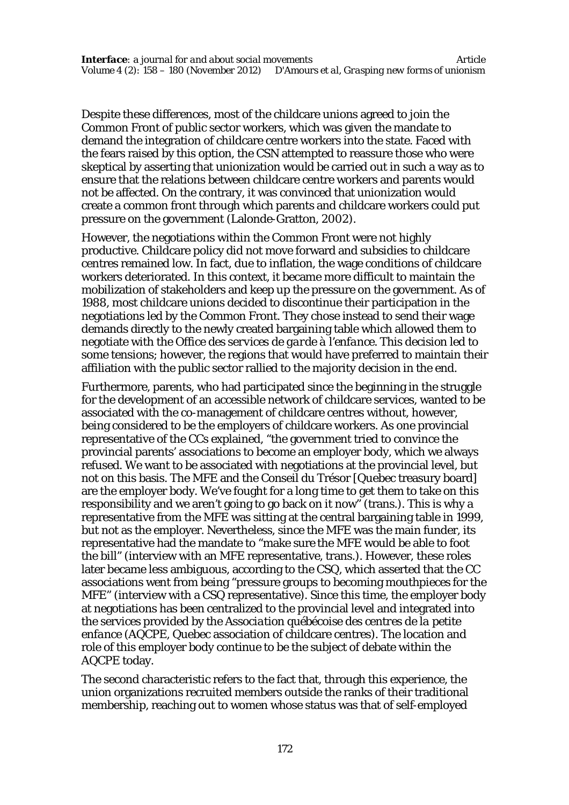Despite these differences, most of the childcare unions agreed to join the Common Front of public sector workers, which was given the mandate to demand the integration of childcare centre workers into the state. Faced with the fears raised by this option, the CSN attempted to reassure those who were skeptical by asserting that unionization would be carried out in such a way as to ensure that the relations between childcare centre workers and parents would not be affected. On the contrary, it was convinced that unionization would create a common front through which parents and childcare workers could put pressure on the government (Lalonde-Gratton, 2002).

However, the negotiations within the Common Front were not highly productive. Childcare policy did not move forward and subsidies to childcare centres remained low. In fact, due to inflation, the wage conditions of childcare workers deteriorated. In this context, it became more difficult to maintain the mobilization of stakeholders and keep up the pressure on the government. As of 1988, most childcare unions decided to discontinue their participation in the negotiations led by the Common Front. They chose instead to send their wage demands directly to the newly created bargaining table which allowed them to negotiate with the *Office des services de garde à l'enfance.* This decision led to some tensions; however, the regions that would have preferred to maintain their affiliation with the public sector rallied to the majority decision in the end.

Furthermore, parents, who had participated since the beginning in the struggle for the development of an accessible network of childcare services, wanted to be associated with the co-management of childcare centres without, however, being considered to be the employers of childcare workers. As one provincial representative of the CCs explained, "the government tried to convince the provincial parents' associations to become an employer body, which we always refused. We want to be associated with negotiations at the provincial level, but not on this basis. The MFE and the Conseil du Trésor [Quebec treasury board] are the employer body. We've fought for a long time to get them to take on this responsibility and we aren't going to go back on it now" (trans.). This is why a representative from the MFE was sitting at the central bargaining table in 1999, but not as the employer. Nevertheless, since the MFE was the main funder, its representative had the mandate to "make sure the MFE would be able to foot the bill" (interview with an MFE representative, trans.). However, these roles later became less ambiguous, according to the CSQ, which asserted that the CC associations went from being "pressure groups to becoming mouthpieces for the MFE" (interview with a CSQ representative). Since this time, the employer body at negotiations has been centralized to the provincial level and integrated into the services provided by the *Association québécoise des centres de la petite enfance* (AQCPE, Quebec association of childcare centres). The location and role of this employer body continue to be the subject of debate within the AQCPE today.

The second characteristic refers to the fact that, through this experience, the union organizations recruited members outside the ranks of their traditional membership, reaching out to women whose status was that of self-employed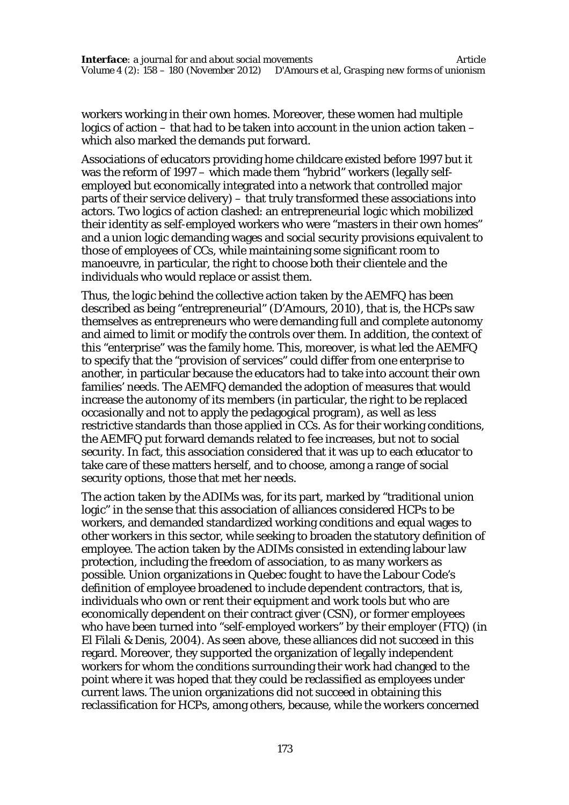workers working in their own homes. Moreover, these women had multiple logics of action – that had to be taken into account in the union action taken – which also marked the demands put forward.

Associations of educators providing home childcare existed before 1997 but it was the reform of 1997 – which made them "hybrid" workers (legally selfemployed but economically integrated into a network that controlled major parts of their service delivery) – that truly transformed these associations into actors. Two logics of action clashed: an entrepreneurial logic which mobilized their identity as self-employed workers who were "masters in their own homes" and a union logic demanding wages and social security provisions equivalent to those of employees of CCs, while maintaining some significant room to manoeuvre, in particular, the right to choose both their clientele and the individuals who would replace or assist them.

Thus, the logic behind the collective action taken by the AEMFQ has been described as being "entrepreneurial" (D'Amours, 2010), that is, the HCPs saw themselves as entrepreneurs who were demanding full and complete autonomy and aimed to limit or modify the controls over them. In addition, the context of this "enterprise" was the family home. This, moreover, is what led the AEMFQ to specify that the "provision of services" could differ from one enterprise to another, in particular because the educators had to take into account their own families' needs. The AEMFQ demanded the adoption of measures that would increase the autonomy of its members (in particular, the right to be replaced occasionally and not to apply the pedagogical program), as well as less restrictive standards than those applied in CCs. As for their working conditions, the AEMFQ put forward demands related to fee increases, but not to social security. In fact, this association considered that it was up to each educator to take care of these matters herself, and to choose, among a range of social security options, those that met her needs.

The action taken by the ADIMs was, for its part, marked by "traditional union logic" in the sense that this association of alliances considered HCPs to be workers, and demanded standardized working conditions and equal wages to other workers in this sector, while seeking to broaden the statutory definition of employee. The action taken by the ADIMs consisted in extending labour law protection, including the freedom of association, to as many workers as possible. Union organizations in Quebec fought to have the Labour Code's definition of employee broadened to include dependent contractors, that is, individuals who own or rent their equipment and work tools but who are economically dependent on their contract giver (CSN), or former employees who have been turned into "self-employed workers" by their employer (FTQ) (in El Filali & Denis, 2004). As seen above, these alliances did not succeed in this regard. Moreover, they supported the organization of legally independent workers for whom the conditions surrounding their work had changed to the point where it was hoped that they could be reclassified as employees under current laws. The union organizations did not succeed in obtaining this reclassification for HCPs, among others, because, while the workers concerned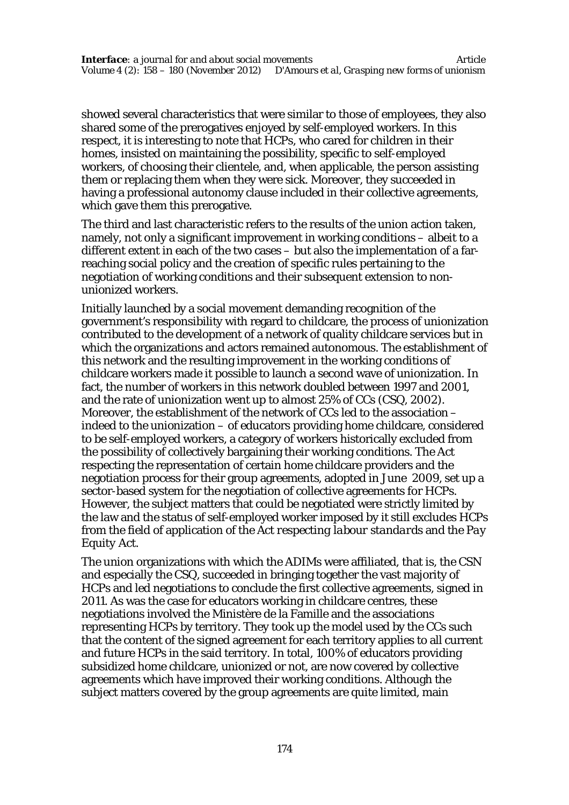showed several characteristics that were similar to those of employees, they also shared some of the prerogatives enjoyed by self-employed workers. In this respect, it is interesting to note that HCPs, who cared for children in their homes, insisted on maintaining the possibility, specific to self-employed workers, of choosing their clientele, and, when applicable, the person assisting them or replacing them when they were sick. Moreover, they succeeded in having a professional autonomy clause included in their collective agreements, which gave them this prerogative.

The third and last characteristic refers to the results of the union action taken, namely, not only a significant improvement in working conditions – albeit to a different extent in each of the two cases – but also the implementation of a farreaching social policy and the creation of specific rules pertaining to the negotiation of working conditions and their subsequent extension to nonunionized workers.

Initially launched by a social movement demanding recognition of the government's responsibility with regard to childcare, the process of unionization contributed to the development of a network of quality childcare services but in which the organizations and actors remained autonomous. The establishment of this network and the resulting improvement in the working conditions of childcare workers made it possible to launch a second wave of unionization. In fact, the number of workers in this network doubled between 1997 and 2001, and the rate of unionization went up to almost 25% of CCs (CSQ, 2002). Moreover, the establishment of the network of CCs led to the association – indeed to the unionization – of educators providing home childcare, considered to be self-employed workers, a category of workers historically excluded from the possibility of collectively bargaining their working conditions. The Act respecting the representation of certain home childcare providers and the negotiation process for their group agreements, adopted in June 2009, set up a sector-based system for the negotiation of collective agreements for HCPs. However, the subject matters that could be negotiated were strictly limited by the law and the status of self-employed worker imposed by it still excludes HCPs from the field of application of the *Act respecting labour standards* and the *Pay Equity Act.*

The union organizations with which the ADIMs were affiliated, that is, the CSN and especially the CSQ, succeeded in bringing together the vast majority of HCPs and led negotiations to conclude the first collective agreements, signed in 2011. As was the case for educators working in childcare centres, these negotiations involved the Ministère de la Famille and the associations representing HCPs by territory. They took up the model used by the CCs such that the content of the signed agreement for each territory applies to all current and future HCPs in the said territory. In total, 100% of educators providing subsidized home childcare, unionized or not, are now covered by collective agreements which have improved their working conditions. Although the subject matters covered by the group agreements are quite limited, main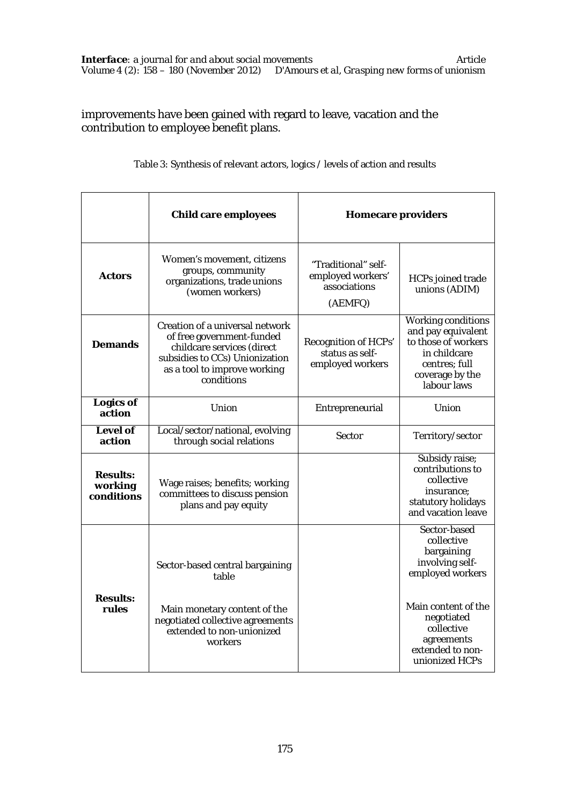improvements have been gained with regard to leave, vacation and the contribution to employee benefit plans.

| Table 3: Synthesis of relevant actors, logics / levels of action and results |  |
|------------------------------------------------------------------------------|--|
|------------------------------------------------------------------------------|--|

|                                          | Child care employees                                                                                                                                                       | <b>Homecare providers</b>                                           |                                                                                                                                    |
|------------------------------------------|----------------------------------------------------------------------------------------------------------------------------------------------------------------------------|---------------------------------------------------------------------|------------------------------------------------------------------------------------------------------------------------------------|
| <b>Actors</b>                            | Women's movement, citizens<br>groups, community<br>organizations, trade unions<br>(women workers)                                                                          | "Traditional" self-<br>employed workers'<br>associations<br>(AEMFQ) | HCPs joined trade<br>unions (ADIM)                                                                                                 |
| <b>Demands</b>                           | Creation of a universal network<br>of free government-funded<br>childcare services (direct<br>subsidies to CCs) Unionization<br>as a tool to improve working<br>conditions | Recognition of HCPs'<br>status as self-<br>employed workers         | Working conditions<br>and pay equivalent<br>to those of workers<br>in childcare<br>centres: full<br>coverage by the<br>labour laws |
| <b>Logics of</b><br>action               | Union                                                                                                                                                                      | Entrepreneurial                                                     | Union                                                                                                                              |
| Level of<br>action                       | Local/sector/national, evolving<br>through social relations                                                                                                                | Sector                                                              | Territory/sector                                                                                                                   |
| <b>Results:</b><br>working<br>conditions | Wage raises; benefits; working<br>committees to discuss pension<br>plans and pay equity                                                                                    |                                                                     | Subsidy raise;<br>contributions to<br>collective<br>insurance;<br>statutory holidays<br>and vacation leave                         |
|                                          | Sector-based central bargaining<br>table                                                                                                                                   |                                                                     | Sector-based<br>collective<br>bargaining<br>involving self-<br>employed workers                                                    |
| <b>Results:</b><br>rules                 | Main monetary content of the<br>negotiated collective agreements<br>extended to non-unionized<br>workers                                                                   |                                                                     | Main content of the<br>negotiated<br>collective<br>agreements<br>extended to non-<br>unionized HCPs                                |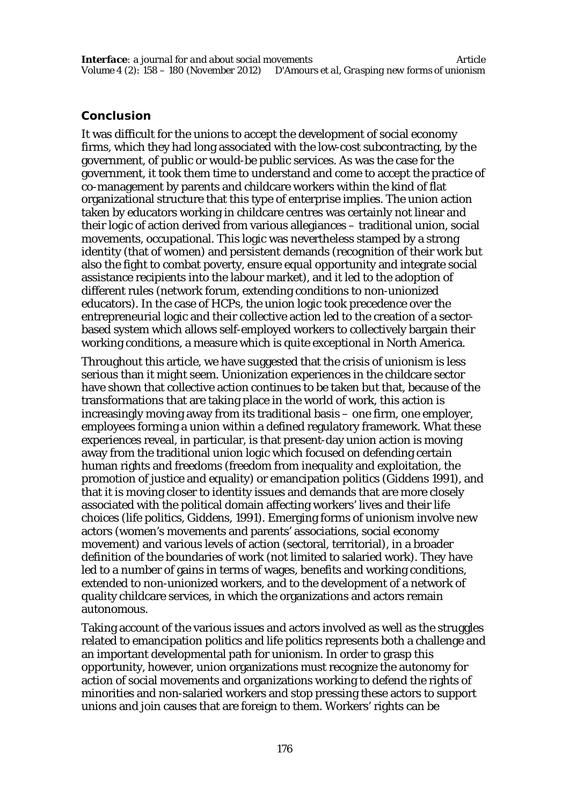# **Conclusion**

It was difficult for the unions to accept the development of social economy firms, which they had long associated with the low-cost subcontracting, by the government, of public or would-be public services. As was the case for the government, it took them time to understand and come to accept the practice of co-management by parents and childcare workers within the kind of flat organizational structure that this type of enterprise implies. The union action taken by educators working in childcare centres was certainly not linear and their logic of action derived from various allegiances – traditional union, social movements, occupational. This logic was nevertheless stamped by a strong identity (that of women) and persistent demands (recognition of their work but also the fight to combat poverty, ensure equal opportunity and integrate social assistance recipients into the labour market), and it led to the adoption of different rules (network forum, extending conditions to non-unionized educators). In the case of HCPs, the union logic took precedence over the entrepreneurial logic and their collective action led to the creation of a sectorbased system which allows self-employed workers to collectively bargain their working conditions, a measure which is quite exceptional in North America.

Throughout this article, we have suggested that the crisis of unionism is less serious than it might seem. Unionization experiences in the childcare sector have shown that collective action continues to be taken but that, because of the transformations that are taking place in the world of work, this action is increasingly moving away from its traditional basis – one firm, one employer, employees forming a union within a defined regulatory framework. What these experiences reveal, in particular, is that present-day union action is moving away from the traditional union logic which focused on defending certain human rights and freedoms (freedom from inequality and exploitation, the promotion of justice and equality) or emancipation politics (Giddens 1991), and that it is moving closer to identity issues and demands that are more closely associated with the political domain affecting workers' lives and their life choices (life politics, Giddens, 1991). Emerging forms of unionism involve new actors (women's movements and parents' associations, social economy movement) and various levels of action (sectoral, territorial), in a broader definition of the boundaries of work (not limited to salaried work). They have led to a number of gains in terms of wages, benefits and working conditions, extended to non-unionized workers, and to the development of a network of quality childcare services, in which the organizations and actors remain autonomous.

Taking account of the various issues and actors involved as well as the struggles related to emancipation politics and life politics represents both a challenge and an important developmental path for unionism. In order to grasp this opportunity, however, union organizations must recognize the autonomy for action of social movements and organizations working to defend the rights of minorities and non-salaried workers and stop pressing these actors to support unions and join causes that are foreign to them. Workers' rights can be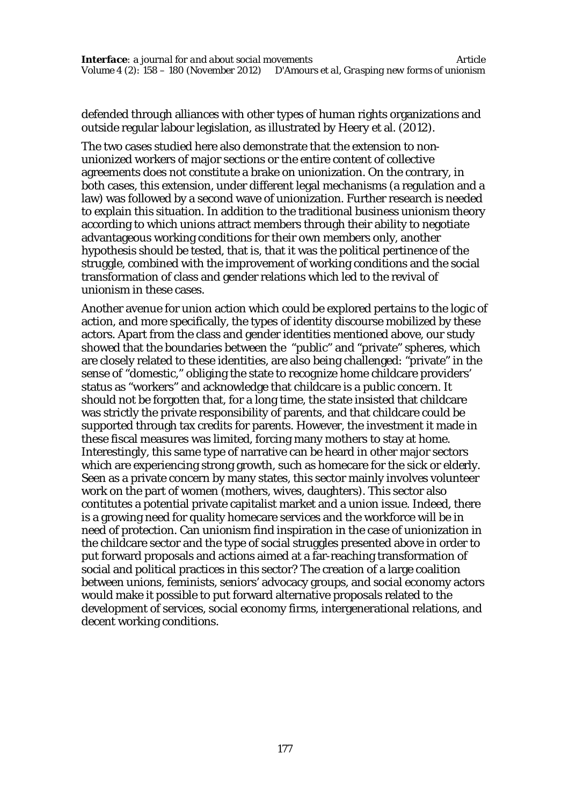defended through alliances with other types of human rights organizations and outside regular labour legislation, as illustrated by Heery et al. (2012).

The two cases studied here also demonstrate that the extension to nonunionized workers of major sections or the entire content of collective agreements does not constitute a brake on unionization. On the contrary, in both cases, this extension, under different legal mechanisms (a regulation and a law) was followed by a second wave of unionization. Further research is needed to explain this situation. In addition to the traditional business unionism theory according to which unions attract members through their ability to negotiate advantageous working conditions for their own members only, another hypothesis should be tested, that is, that it was the political pertinence of the struggle, combined with the improvement of working conditions and the social transformation of class and gender relations which led to the revival of unionism in these cases.

Another avenue for union action which could be explored pertains to the logic of action, and more specifically, the types of identity discourse mobilized by these actors. Apart from the class and gender identities mentioned above, our study showed that the boundaries between the "public" and "private" spheres, which are closely related to these identities, are also being challenged: "private" in the sense of "domestic," obliging the state to recognize home childcare providers' status as "workers" and acknowledge that childcare is a public concern. It should not be forgotten that, for a long time, the state insisted that childcare was strictly the private responsibility of parents, and that childcare could be supported through tax credits for parents. However, the investment it made in these fiscal measures was limited, forcing many mothers to stay at home. Interestingly, this same type of narrative can be heard in other major sectors which are experiencing strong growth, such as homecare for the sick or elderly. Seen as a private concern by many states, this sector mainly involves volunteer work on the part of women (mothers, wives, daughters). This sector also contitutes a potential private capitalist market and a union issue. Indeed, there is a growing need for quality homecare services and the workforce will be in need of protection. Can unionism find inspiration in the case of unionization in the childcare sector and the type of social struggles presented above in order to put forward proposals and actions aimed at a far-reaching transformation of social and political practices in this sector? The creation of a large coalition between unions, feminists, seniors' advocacy groups, and social economy actors would make it possible to put forward alternative proposals related to the development of services, social economy firms, intergenerational relations, and decent working conditions.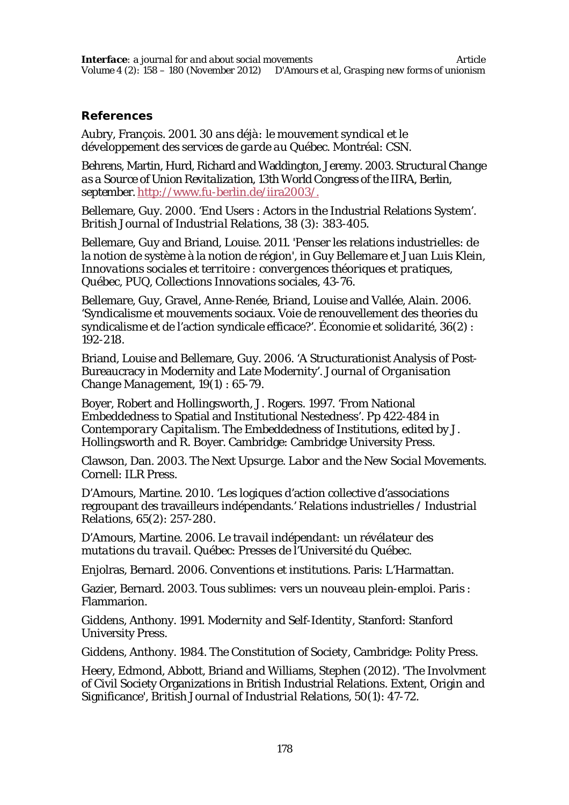#### **References**

Aubry, François. 2001. *30 ans déjà: le mouvement syndical et le développement des services de garde au Québec*. Montréal: CSN.

Behrens, Martin, Hurd, Richard and Waddington, Jeremy. 2003. *Structural Change as a Source of Union Revitalization*, 13th World Congress of the IIRA, Berlin, september.http://www.fu-berlin.de/iira2003/.

Bellemare, Guy. 2000. 'End Users : Actors in the Industrial Relations System'. *British Journal of Industrial Relations,* 38 (3)*:* 383-405.

Bellemare, Guy and Briand, Louise. 2011. 'Penser les relations industrielles: de la notion de système à la notion de région', in Guy Bellemare et Juan Luis Klein, *Innovations sociales et territoire : convergences théoriques et pratiques,* Québec, PUQ, Collections Innovations sociales, 43-76.

Bellemare, Guy, Gravel, Anne-Renée, Briand, Louise and Vallée, Alain. 2006. 'Syndicalisme et mouvements sociaux. Voie de renouvellement des theories du syndicalisme et de l'action syndicale efficace?'. *Économie et solidarité,* 36(2) : 192-218.

Briand, Louise and Bellemare, Guy. 2006. 'A Structurationist Analysis of Post-Bureaucracy in Modernity and Late Modernity'. *Journal of Organisation Change Management,* 19(1) : 65-79.

Boyer, Robert and Hollingsworth, J. Rogers. 1997. 'From National Embeddedness to Spatial and Institutional Nestedness'. Pp 422-484 in *Contemporary Capitalism. The Embeddedness of Institutions,* edited by J. Hollingsworth and R. Boyer. Cambridge: Cambridge University Press.

Clawson, Dan. 2003. *The Next Upsurge. Labor and the New Social Movements*. Cornell: ILR Press.

D'Amours, Martine. 2010. 'Les logiques d'action collective d'associations regroupant des travailleurs indépendants.' *Relations industrielles / Industrial Relations,* 65(2): 257-280.

D'Amours, Martine. 2006. *Le travail indépendant: un révélateur des mutations du travail*. Québec: Presses de l'Université du Québec.

Enjolras, Bernard. 2006. *Conventions et institutions*. Paris: L'Harmattan.

Gazier, Bernard. 2003. *Tous sublimes: vers un nouveau plein-emploi*. Paris : Flammarion.

Giddens, Anthony. 1991. *Modernity and Self-Identity*, Stanford: Stanford University Press.

Giddens, Anthony. 1984. *The Constitution of Society*, Cambridge: Polity Press.

Heery, Edmond, Abbott, Briand and Williams, Stephen (2012). 'The Involvment of Civil Society Organizations in British Industrial Relations. Extent, Origin and Significance', *British Journal of Industrial Relations*, 50(1): 47-72.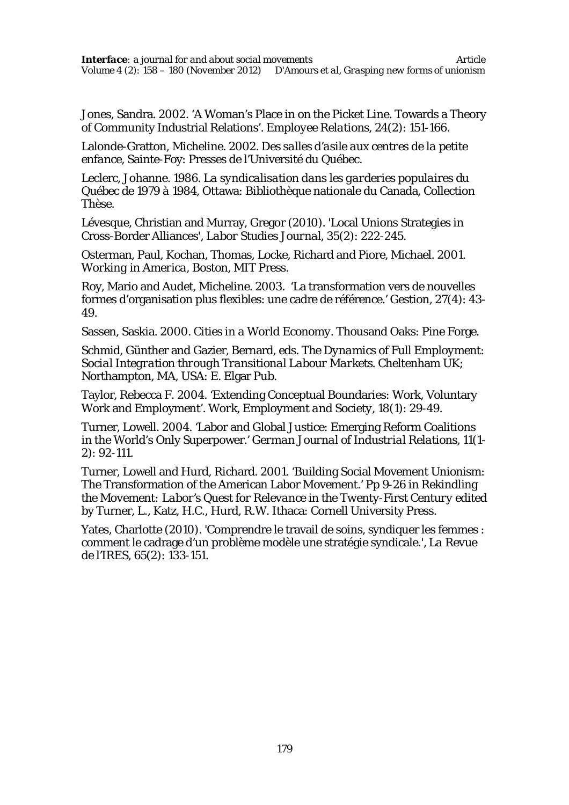Jones, Sandra. 2002. 'A Woman's Place in on the Picket Line. Towards a Theory of Community Industrial Relations'. *Employee Relations,* 24(2): 151-166.

Lalonde-Gratton, Micheline. 2002. *Des salles d'asile aux centres de la petite enfance*, Sainte-Foy: Presses de l'Université du Québec.

Leclerc, Johanne. 1986. *La syndicalisation dans les garderies populaires du Québec de 1979 à 1984*, Ottawa: Bibliothèque nationale du Canada, Collection Thèse.

Lévesque, Christian and Murray, Gregor (2010). 'Local Unions Strategies in Cross-Border Alliances', *Labor Studies Journal*, 35(2): 222-245.

Osterman, Paul, Kochan, Thomas, Locke, Richard and Piore, Michael. 2001. *Working in America*, Boston, MIT Press.

Roy, Mario and Audet, Micheline. 2003. 'La transformation vers de nouvelles formes d'organisation plus flexibles: une cadre de référence.' *Gestion,* 27(4): 43- 49.

Sassen, Saskia. 2000. *Cities in a World Economy*. Thousand Oaks: Pine Forge.

Schmid, Günther and Gazier, Bernard, eds. *The Dynamics of Full Employment: Social Integration through Transitional Labour Markets*. Cheltenham UK; Northampton, MA, USA: E. Elgar Pub.

Taylor, Rebecca F. 2004. 'Extending Conceptual Boundaries: Work, Voluntary Work and Employment'. *Work, Employment and Society,* 18(1): 29-49.

Turner, Lowell. 2004. 'Labor and Global Justice: Emerging Reform Coalitions in the World's Only Superpower.' *German Journal of Industrial Relations,* 11(1- 2): 92-111.

Turner, Lowell and Hurd, Richard. 2001. 'Building Social Movement Unionism: The Transformation of the American Labor Movement.' Pp 9-26 in *Rekindling the Movement: Labor's Quest for Relevance in the Twenty-First Century* edited by Turner, L., Katz, H.C., Hurd, R.W. Ithaca: Cornell University Press.

Yates, Charlotte (2010). 'Comprendre le travail de soins, syndiquer les femmes : comment le cadrage d'un problème modèle une stratégie syndicale.', *La Revue de l'IRES*, 65(2): 133-151.